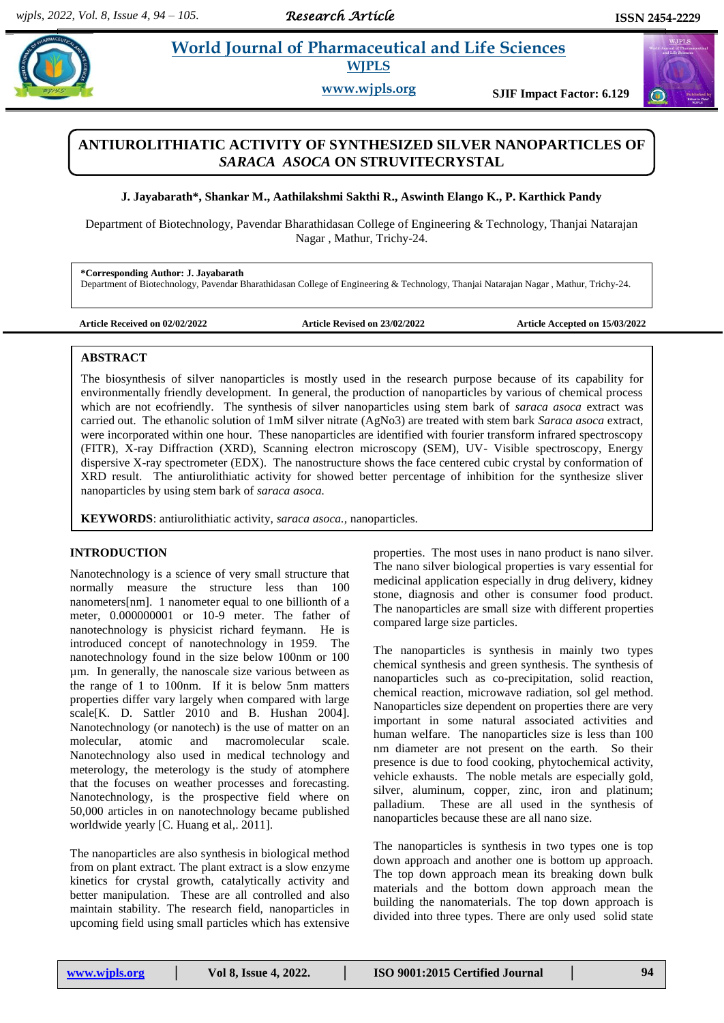# **Paramaceutical and Life Sciences WJPLS**

**www.wjpls.org SJIF Impact Factor: 6.129**

# **ANTIUROLITHIATIC ACTIVITY OF SYNTHESIZED SILVER NANOPARTICLES OF**  *SARACA ASOCA* **ON STRUVITECRYSTAL**

# **J. Jayabarath\*, Shankar M., Aathilakshmi Sakthi R., Aswinth Elango K., P. Karthick Pandy**

Department of Biotechnology, Pavendar Bharathidasan College of Engineering & Technology, Thanjai Natarajan Nagar , Mathur, Trichy-24.

**\*Corresponding Author: J. Jayabarath** Department of Biotechnology, Pavendar Bharathidasan College of Engineering & Technology, Thanjai Natarajan Nagar , Mathur, Trichy-24.

**Article Received on 02/02/2022 Article Revised on 23/02/2022 Article Accepted on 15/03/2022**

# **ABSTRACT**

The biosynthesis of silver nanoparticles is mostly used in the research purpose because of its capability for environmentally friendly development. In general, the production of nanoparticles by various of chemical process which are not ecofriendly. The synthesis of silver nanoparticles using stem bark of *saraca asoca* extract was carried out. The ethanolic solution of 1mM silver nitrate (AgNo3) are treated with stem bark *Saraca asoca* extract, were incorporated within one hour. These nanoparticles are identified with fourier transform infrared spectroscopy (FITR), X-ray Diffraction (XRD), Scanning electron microscopy (SEM), UV- Visible spectroscopy, Energy dispersive X-ray spectrometer (EDX). The nanostructure shows the face centered cubic crystal by conformation of XRD result. The antiurolithiatic activity for showed better percentage of inhibition for the synthesize sliver nanoparticles by using stem bark of *saraca asoca.*

**KEYWORDS**: antiurolithiatic activity, *saraca asoca.,* nanoparticles.

# **INTRODUCTION**

Nanotechnology is a science of very small structure that normally measure the structure less than 100 nanometers[nm]. 1 nanometer equal to one billionth of a meter, 0.000000001 or 10-9 meter. The father of nanotechnology is physicist richard feymann. He is introduced concept of nanotechnology in 1959. The nanotechnology found in the size below 100nm or 100 µm. In generally, the nanoscale size various between as the range of 1 to 100nm. If it is below 5nm matters properties differ vary largely when compared with large scale[K. D. Sattler 2010 and B. Hushan 2004]. Nanotechnology (or nanotech) is the use of matter on an molecular, atomic and macromolecular scale. Nanotechnology also used in medical technology and meterology, the meterology is the study of atomphere that the focuses on weather processes and forecasting. Nanotechnology, is the prospective field where on 50,000 articles in on nanotechnology became published worldwide yearly [C. Huang et al,. 2011].

The nanoparticles are also synthesis in biological method from on plant extract. The plant extract is a slow enzyme kinetics for crystal growth, catalytically activity and better manipulation. These are all controlled and also maintain stability. The research field, nanoparticles in upcoming field using small particles which has extensive properties. The most uses in nano product is nano silver. The nano silver biological properties is vary essential for medicinal application especially in drug delivery, kidney stone, diagnosis and other is consumer food product. The nanoparticles are small size with different properties compared large size particles.

The nanoparticles is synthesis in mainly two types chemical synthesis and green synthesis. The synthesis of nanoparticles such as co-precipitation, solid reaction, chemical reaction, microwave radiation, sol gel method. Nanoparticles size dependent on properties there are very important in some natural associated activities and human welfare. The nanoparticles size is less than 100 nm diameter are not present on the earth. So their presence is due to food cooking, phytochemical activity, vehicle exhausts. The noble metals are especially gold, silver, aluminum, copper, zinc, iron and platinum; palladium. These are all used in the synthesis of nanoparticles because these are all nano size.

The nanoparticles is synthesis in two types one is top down approach and another one is bottom up approach. The top down approach mean its breaking down bulk materials and the bottom down approach mean the building the nanomaterials. The top down approach is divided into three types. There are only used solid state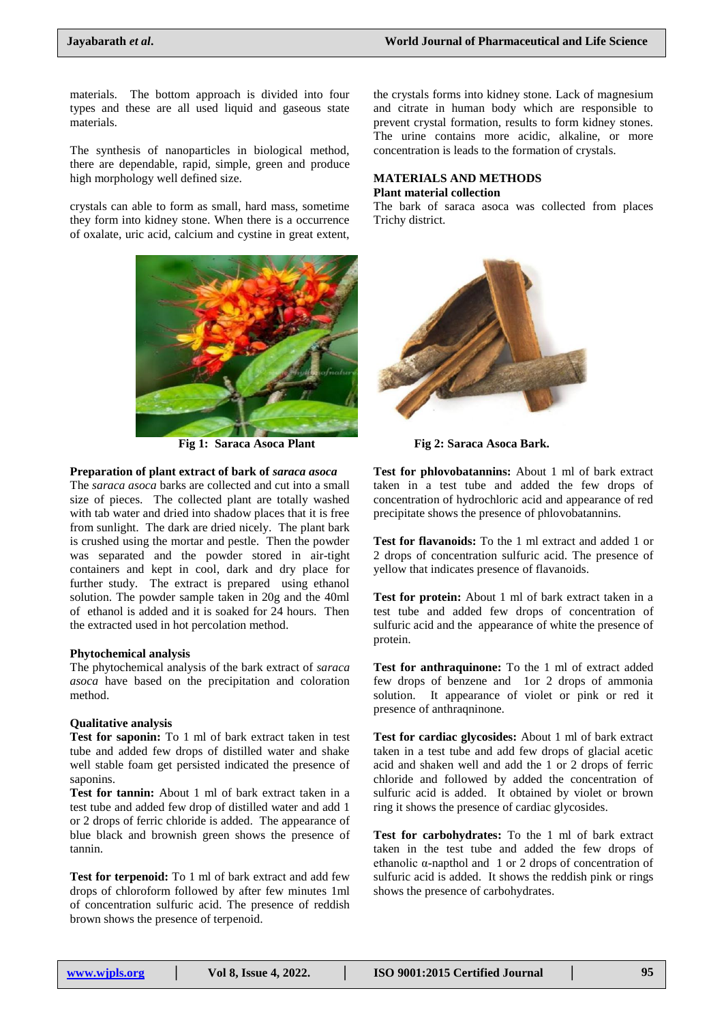materials. The bottom approach is divided into four types and these are all used liquid and gaseous state materials.

The synthesis of nanoparticles in biological method, there are dependable, rapid, simple, green and produce high morphology well defined size.

crystals can able to form as small, hard mass, sometime they form into kidney stone. When there is a occurrence of oxalate, uric acid, calcium and cystine in great extent,



# **Preparation of plant extract of bark of** *saraca asoca*

The *saraca asoca* barks are collected and cut into a small size of pieces. The collected plant are totally washed with tab water and dried into shadow places that it is free from sunlight. The dark are dried nicely. The plant bark is crushed using the mortar and pestle. Then the powder was separated and the powder stored in air-tight containers and kept in cool, dark and dry place for further study. The extract is prepared using ethanol solution. The powder sample taken in 20g and the 40ml of ethanol is added and it is soaked for 24 hours. Then the extracted used in hot percolation method.

#### **Phytochemical analysis**

The phytochemical analysis of the bark extract of *saraca asoca* have based on the precipitation and coloration method.

### **Qualitative analysis**

**Test for saponin:** To 1 ml of bark extract taken in test tube and added few drops of distilled water and shake well stable foam get persisted indicated the presence of saponins.

**Test for tannin:** About 1 ml of bark extract taken in a test tube and added few drop of distilled water and add 1 or 2 drops of ferric chloride is added. The appearance of blue black and brownish green shows the presence of tannin.

**Test for terpenoid:** To 1 ml of bark extract and add few drops of chloroform followed by after few minutes 1ml of concentration sulfuric acid. The presence of reddish brown shows the presence of terpenoid.

the crystals forms into kidney stone. Lack of magnesium and citrate in human body which are responsible to prevent crystal formation, results to form kidney stones. The urine contains more acidic, alkaline, or more concentration is leads to the formation of crystals.

#### **MATERIALS AND METHODS Plant material collection**

The bark of saraca asoca was collected from places Trichy district.



**Fig 1: Saraca Asoca Plant Fig 2: Saraca Asoca Bark.**

**Test for phlovobatannins:** About 1 ml of bark extract taken in a test tube and added the few drops of concentration of hydrochloric acid and appearance of red precipitate shows the presence of phlovobatannins.

**Test for flavanoids:** To the 1 ml extract and added 1 or 2 drops of concentration sulfuric acid. The presence of yellow that indicates presence of flavanoids.

**Test for protein:** About 1 ml of bark extract taken in a test tube and added few drops of concentration of sulfuric acid and the appearance of white the presence of protein.

**Test for anthraquinone:** To the 1 ml of extract added few drops of benzene and 1or 2 drops of ammonia solution. It appearance of violet or pink or red it presence of anthraqninone.

**Test for cardiac glycosides:** About 1 ml of bark extract taken in a test tube and add few drops of glacial acetic acid and shaken well and add the 1 or 2 drops of ferric chloride and followed by added the concentration of sulfuric acid is added. It obtained by violet or brown ring it shows the presence of cardiac glycosides.

**Test for carbohydrates:** To the 1 ml of bark extract taken in the test tube and added the few drops of ethanolic α-napthol and 1 or 2 drops of concentration of sulfuric acid is added. It shows the reddish pink or rings shows the presence of carbohydrates.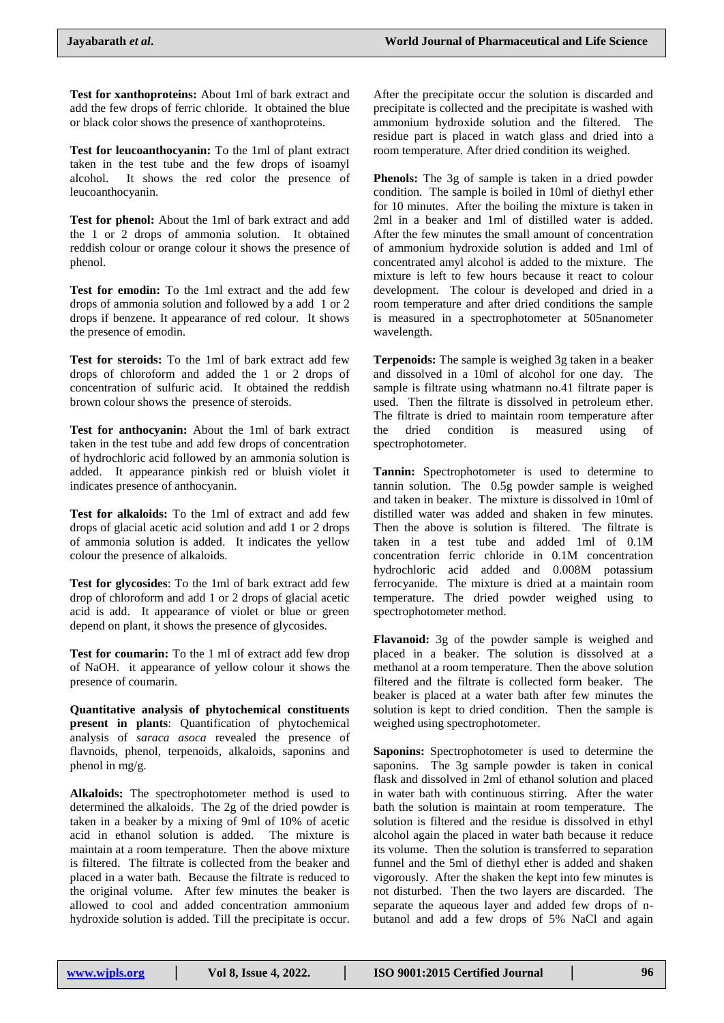**Test for xanthoproteins:** About 1ml of bark extract and add the few drops of ferric chloride. It obtained the blue or black color shows the presence of xanthoproteins.

**Test for leucoanthocyanin:** To the 1ml of plant extract taken in the test tube and the few drops of isoamyl alcohol. It shows the red color the presence of leucoanthocyanin.

**Test for phenol:** About the 1ml of bark extract and add the 1 or 2 drops of ammonia solution. It obtained reddish colour or orange colour it shows the presence of phenol.

**Test for emodin:** To the 1ml extract and the add few drops of ammonia solution and followed by a add 1 or 2 drops if benzene. It appearance of red colour. It shows the presence of emodin.

**Test for steroids:** To the 1ml of bark extract add few drops of chloroform and added the 1 or 2 drops of concentration of sulfuric acid. It obtained the reddish brown colour shows the presence of steroids.

**Test for anthocyanin:** About the 1ml of bark extract taken in the test tube and add few drops of concentration of hydrochloric acid followed by an ammonia solution is added. It appearance pinkish red or bluish violet it indicates presence of anthocyanin.

**Test for alkaloids:** To the 1ml of extract and add few drops of glacial acetic acid solution and add 1 or 2 drops of ammonia solution is added. It indicates the yellow colour the presence of alkaloids.

**Test for glycosides**: To the 1ml of bark extract add few drop of chloroform and add 1 or 2 drops of glacial acetic acid is add. It appearance of violet or blue or green depend on plant, it shows the presence of glycosides.

**Test for coumarin:** To the 1 ml of extract add few drop of NaOH. it appearance of yellow colour it shows the presence of coumarin.

**Quantitative analysis of phytochemical constituents present in plants**: Quantification of phytochemical analysis of *saraca asoca* revealed the presence of flavnoids, phenol, terpenoids, alkaloids, saponins and phenol in mg/g.

**Alkaloids:** The spectrophotometer method is used to determined the alkaloids. The 2g of the dried powder is taken in a beaker by a mixing of 9ml of 10% of acetic acid in ethanol solution is added. The mixture is maintain at a room temperature. Then the above mixture is filtered. The filtrate is collected from the beaker and placed in a water bath. Because the filtrate is reduced to the original volume. After few minutes the beaker is allowed to cool and added concentration ammonium hydroxide solution is added. Till the precipitate is occur. After the precipitate occur the solution is discarded and precipitate is collected and the precipitate is washed with ammonium hydroxide solution and the filtered. The residue part is placed in watch glass and dried into a room temperature. After dried condition its weighed.

**Phenols:** The 3g of sample is taken in a dried powder condition. The sample is boiled in 10ml of diethyl ether for 10 minutes. After the boiling the mixture is taken in 2ml in a beaker and 1ml of distilled water is added. After the few minutes the small amount of concentration of ammonium hydroxide solution is added and 1ml of concentrated amyl alcohol is added to the mixture. The mixture is left to few hours because it react to colour development. The colour is developed and dried in a room temperature and after dried conditions the sample is measured in a spectrophotometer at 505nanometer wavelength.

**Terpenoids:** The sample is weighed 3g taken in a beaker and dissolved in a 10ml of alcohol for one day. The sample is filtrate using whatmann no.41 filtrate paper is used. Then the filtrate is dissolved in petroleum ether. The filtrate is dried to maintain room temperature after the dried condition is measured using of spectrophotometer.

**Tannin:** Spectrophotometer is used to determine to tannin solution. The 0.5g powder sample is weighed and taken in beaker. The mixture is dissolved in 10ml of distilled water was added and shaken in few minutes. Then the above is solution is filtered. The filtrate is taken in a test tube and added 1ml of 0.1M concentration ferric chloride in 0.1M concentration hydrochloric acid added and 0.008M potassium ferrocyanide. The mixture is dried at a maintain room temperature. The dried powder weighed using to spectrophotometer method.

**Flavanoid:** 3g of the powder sample is weighed and placed in a beaker. The solution is dissolved at a methanol at a room temperature. Then the above solution filtered and the filtrate is collected form beaker. The beaker is placed at a water bath after few minutes the solution is kept to dried condition. Then the sample is weighed using spectrophotometer.

**Saponins:** Spectrophotometer is used to determine the saponins. The 3g sample powder is taken in conical flask and dissolved in 2ml of ethanol solution and placed in water bath with continuous stirring. After the water bath the solution is maintain at room temperature. The solution is filtered and the residue is dissolved in ethyl alcohol again the placed in water bath because it reduce its volume. Then the solution is transferred to separation funnel and the 5ml of diethyl ether is added and shaken vigorously. After the shaken the kept into few minutes is not disturbed. Then the two layers are discarded. The separate the aqueous layer and added few drops of nbutanol and add a few drops of 5% NaCl and again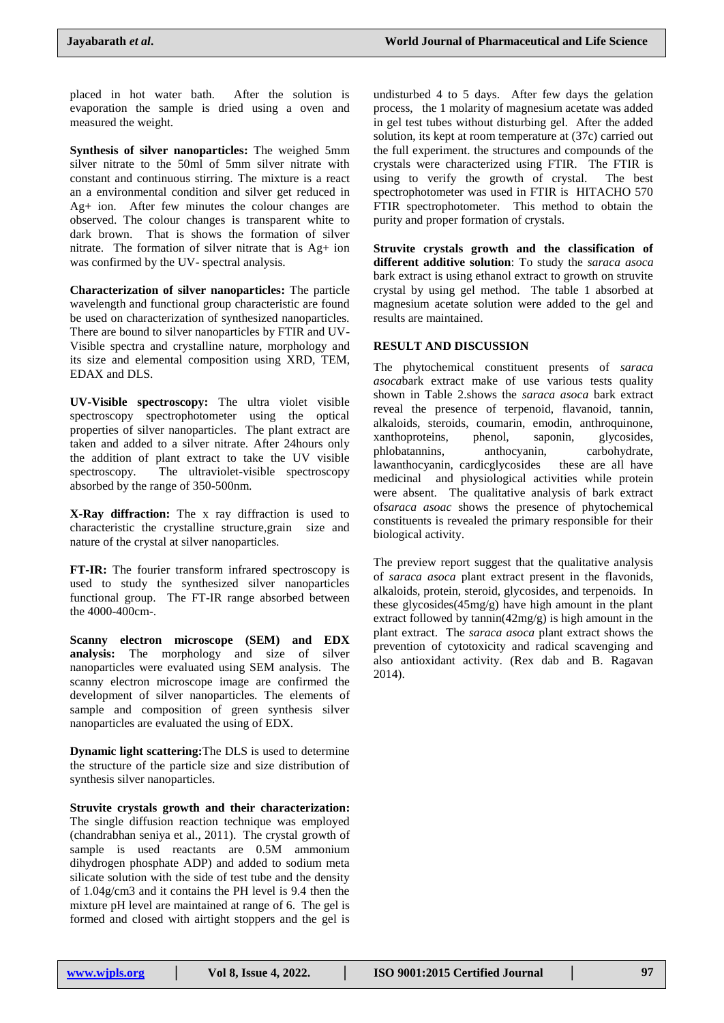placed in hot water bath. After the solution is evaporation the sample is dried using a oven and measured the weight.

**Synthesis of silver nanoparticles:** The weighed 5mm silver nitrate to the 50ml of 5mm silver nitrate with constant and continuous stirring. The mixture is a react an a environmental condition and silver get reduced in Ag+ ion. After few minutes the colour changes are observed. The colour changes is transparent white to dark brown. That is shows the formation of silver nitrate. The formation of silver nitrate that is Ag+ ion was confirmed by the UV- spectral analysis.

**Characterization of silver nanoparticles:** The particle wavelength and functional group characteristic are found be used on characterization of synthesized nanoparticles. There are bound to silver nanoparticles by FTIR and UV-Visible spectra and crystalline nature, morphology and its size and elemental composition using XRD, TEM, EDAX and DLS.

**UV-Visible spectroscopy:** The ultra violet visible spectroscopy spectrophotometer using the optical properties of silver nanoparticles. The plant extract are taken and added to a silver nitrate. After 24hours only the addition of plant extract to take the UV visible spectroscopy. The ultraviolet-visible spectroscopy absorbed by the range of 350-500nm.

**X-Ray diffraction:** The x ray diffraction is used to characteristic the crystalline structure,grain size and nature of the crystal at silver nanoparticles.

**FT-IR:** The fourier transform infrared spectroscopy is used to study the synthesized silver nanoparticles functional group. The FT-IR range absorbed between the 4000-400cm-.

**Scanny electron microscope (SEM) and EDX analysis:** The morphology and size of silver nanoparticles were evaluated using SEM analysis. The scanny electron microscope image are confirmed the development of silver nanoparticles. The elements of sample and composition of green synthesis silver nanoparticles are evaluated the using of EDX.

**Dynamic light scattering:**The DLS is used to determine the structure of the particle size and size distribution of synthesis silver nanoparticles.

**Struvite crystals growth and their characterization:** The single diffusion reaction technique was employed (chandrabhan seniya et al., 2011). The crystal growth of sample is used reactants are 0.5M ammonium dihydrogen phosphate ADP) and added to sodium meta silicate solution with the side of test tube and the density of 1.04g/cm3 and it contains the PH level is 9.4 then the mixture pH level are maintained at range of 6. The gel is formed and closed with airtight stoppers and the gel is undisturbed 4 to 5 days. After few days the gelation process, the 1 molarity of magnesium acetate was added in gel test tubes without disturbing gel. After the added solution, its kept at room temperature at (37c) carried out the full experiment. the structures and compounds of the crystals were characterized using FTIR. The FTIR is using to verify the growth of crystal. The best spectrophotometer was used in FTIR is HITACHO 570 FTIR spectrophotometer. This method to obtain the purity and proper formation of crystals.

**Struvite crystals growth and the classification of different additive solution**: To study the *saraca asoca* bark extract is using ethanol extract to growth on struvite crystal by using gel method. The table 1 absorbed at magnesium acetate solution were added to the gel and results are maintained.

# **RESULT AND DISCUSSION**

The phytochemical constituent presents of *saraca asoca*bark extract make of use various tests quality shown in Table 2.shows the *saraca asoca* bark extract reveal the presence of terpenoid, flavanoid, tannin, alkaloids, steroids, coumarin, emodin, anthroquinone, xanthoproteins, phenol, saponin, glycosides, phlobatannins, anthocyanin, carbohydrate, lawanthocyanin, cardicglycosides these are all have medicinal and physiological activities while protein were absent. The qualitative analysis of bark extract of*saraca asoac* shows the presence of phytochemical constituents is revealed the primary responsible for their biological activity.

The preview report suggest that the qualitative analysis of *saraca asoca* plant extract present in the flavonids, alkaloids, protein, steroid, glycosides, and terpenoids. In these glycosides(45mg/g) have high amount in the plant extract followed by tannin(42mg/g) is high amount in the plant extract. The *saraca asoca* plant extract shows the prevention of cytotoxicity and radical scavenging and also antioxidant activity. (Rex dab and B. Ragavan 2014).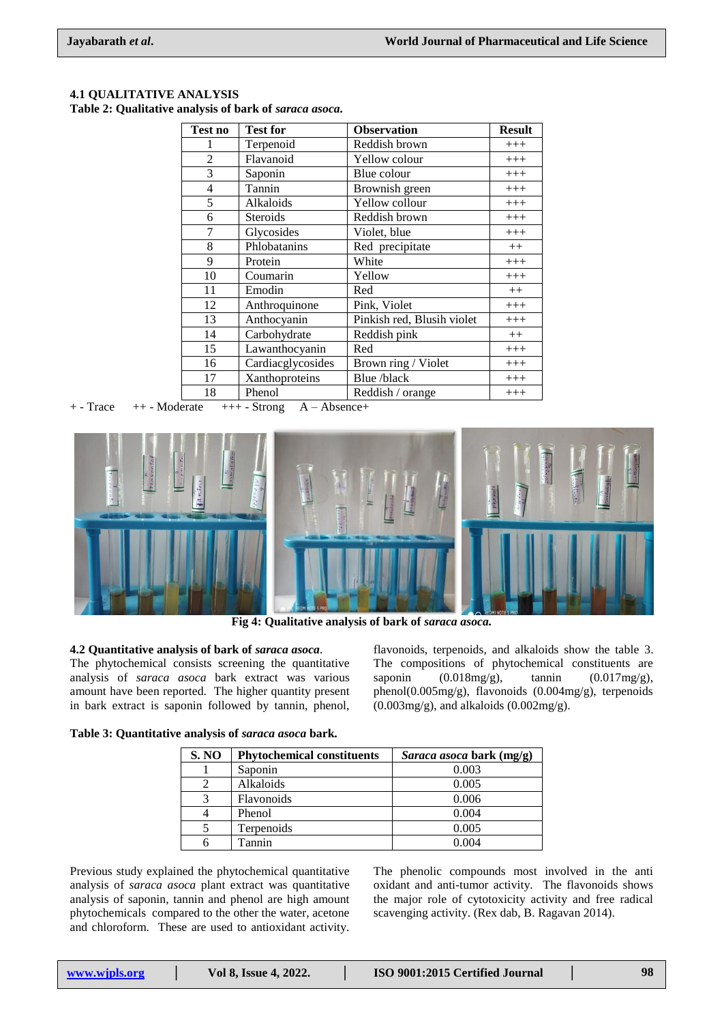| Test no        | <b>Test for</b>   | <b>Observation</b>         | <b>Result</b> |
|----------------|-------------------|----------------------------|---------------|
|                | Terpenoid         | Reddish brown              | $+++$         |
| $\overline{2}$ | Flavanoid         | Yellow colour              | $+++$         |
| 3              | Saponin           | Blue colour                | $+++$         |
| $\overline{4}$ | Tannin            | Brownish green             | $+++$         |
| 5              | Alkaloids         | Yellow collour             | $+++$         |
| 6              | Steroids          | Reddish brown              | $+++$         |
| $\tau$         | Glycosides        | Violet, blue               | $+++$         |
| 8              | Phlobatanins      | Red precipitate            | $++$          |
| 9              | Protein           | White                      | $+++$         |
| 10             | Coumarin          | Yellow                     | $+++$         |
| 11             | Emodin            | Red                        | $++$          |
| 12             | Anthroquinone     | Pink, Violet               | $+++$         |
| 13             | Anthocyanin       | Pinkish red, Blusih violet | $+++$         |
| 14             | Carbohydrate      | Reddish pink               | $++$          |
| 15             | Lawanthocyanin    | Red                        | $+++$         |
| 16             | Cardiacglycosides | Brown ring / Violet        | $+++$         |
| 17             | Xanthoproteins    | Blue /black                | $+++$         |
| 18             | Phenol            | Reddish / orange           | $+++$         |

# **4.1 QUALITATIVE ANALYSIS**

**Table 2: Qualitative analysis of bark of** *saraca asoca.*

 $+$  - Trace  $+$  + - Moderate  $+$  + + - Strong  $A - Ab$ sence +



**Fig 4: Qualitative analysis of bark of** *saraca asoca.*

#### **4.2 Quantitative analysis of bark of** *saraca asoca.*

The phytochemical consists screening the quantitative analysis of *saraca asoca* bark extract was various amount have been reported. The higher quantity present in bark extract is saponin followed by tannin, phenol,

flavonoids, terpenoids, and alkaloids show the table 3. The compositions of phytochemical constituents are saponin  $(0.018mg/g)$ , tannin  $(0.017mg/g)$ , phenol(0.005mg/g), flavonoids (0.004mg/g), terpenoids (0.003mg/g), and alkaloids (0.002mg/g).

#### **Table 3: Quantitative analysis of** *saraca asoca* **bark.**

| <b>S. NO</b> | <b>Phytochemical constituents</b> | <i>Saraca asoca</i> bark (mg/g) |
|--------------|-----------------------------------|---------------------------------|
|              | Saponin                           | 0.003                           |
|              | Alkaloids                         | 0.005                           |
|              | <b>Flavonoids</b>                 | 0.006                           |
|              | Phenol                            | 0.004                           |
|              | Terpenoids                        | 0.005                           |
|              | Tannin                            | 0.004                           |

Previous study explained the phytochemical quantitative analysis of *saraca asoca* plant extract was quantitative analysis of saponin, tannin and phenol are high amount phytochemicals compared to the other the water, acetone and chloroform. These are used to antioxidant activity.

The phenolic compounds most involved in the anti oxidant and anti-tumor activity. The flavonoids shows the major role of cytotoxicity activity and free radical scavenging activity. (Rex dab, B. Ragavan 2014).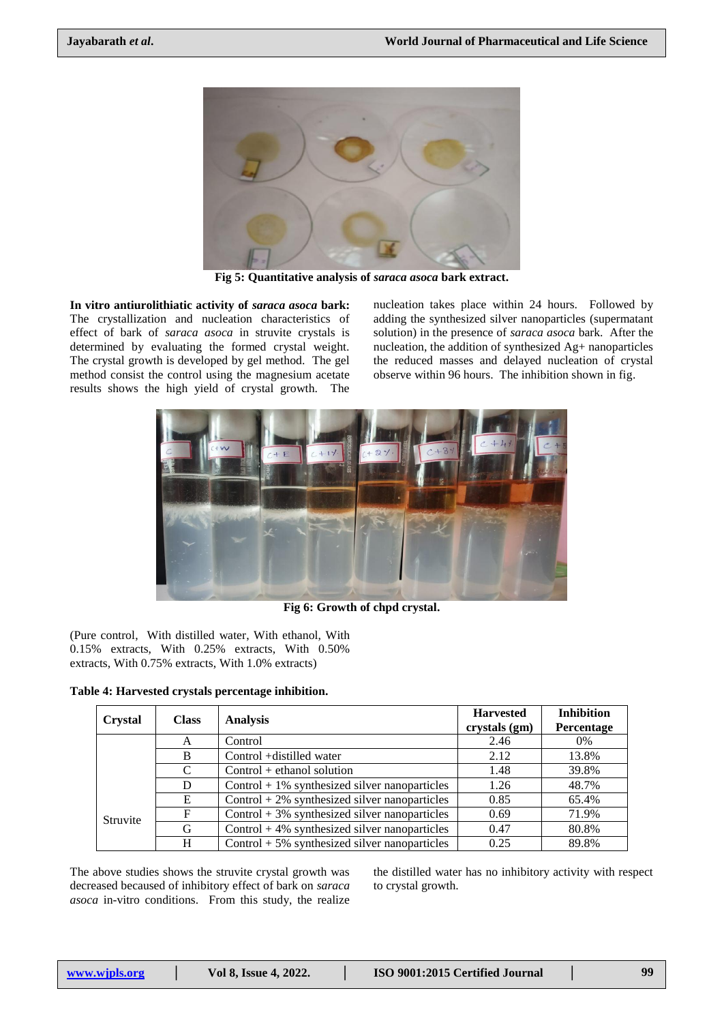

**Fig 5: Quantitative analysis of** *saraca asoca* **bark extract.**

**In vitro antiurolithiatic activity of** *saraca asoca* **bark:**  The crystallization and nucleation characteristics of effect of bark of *saraca asoca* in struvite crystals is determined by evaluating the formed crystal weight. The crystal growth is developed by gel method. The gel method consist the control using the magnesium acetate results shows the high yield of crystal growth. The

nucleation takes place within 24 hours. Followed by adding the synthesized silver nanoparticles (supermatant solution) in the presence of *saraca asoca* bark. After the nucleation, the addition of synthesized Ag+ nanoparticles the reduced masses and delayed nucleation of crystal observe within 96 hours. The inhibition shown in fig.



**Fig 6: Growth of chpd crystal.**

(Pure control, With distilled water, With ethanol, With 0.15% extracts, With 0.25% extracts, With 0.50% extracts, With 0.75% extracts, With 1.0% extracts)

**Table 4: Harvested crystals percentage inhibition.**

| <b>Crystal</b>  | <b>Class</b>  | <b>Analysis</b>                                  | <b>Harvested</b><br>crystals (gm) | <b>Inhibition</b><br>Percentage |
|-----------------|---------------|--------------------------------------------------|-----------------------------------|---------------------------------|
|                 | A             | Control                                          | 2.46                              | $0\%$                           |
| B               |               | Control + distilled water                        | 2.12                              | 13.8%                           |
|                 | $\mathcal{C}$ | $Control + ethanol solution$                     | 1.48                              | 39.8%                           |
|                 | D             | $Control + 1\%$ synthesized silver nanoparticles | 1.26                              | 48.7%                           |
| <b>Struvite</b> | E             | Control $+2\%$ synthesized silver nanoparticles  | 0.85                              | 65.4%                           |
|                 | F             | Control $+3\%$ synthesized silver nanoparticles  | 0.69                              | 71.9%                           |
|                 | G             | Control $+4\%$ synthesized silver nanoparticles  | 0.47                              | 80.8%                           |
|                 | Н             | Control $+5\%$ synthesized silver nanoparticles  | 0.25                              | 89.8%                           |

The above studies shows the struvite crystal growth was decreased becaused of inhibitory effect of bark on *saraca asoca* in-vitro conditions. From this study, the realize

the distilled water has no inhibitory activity with respect to crystal growth.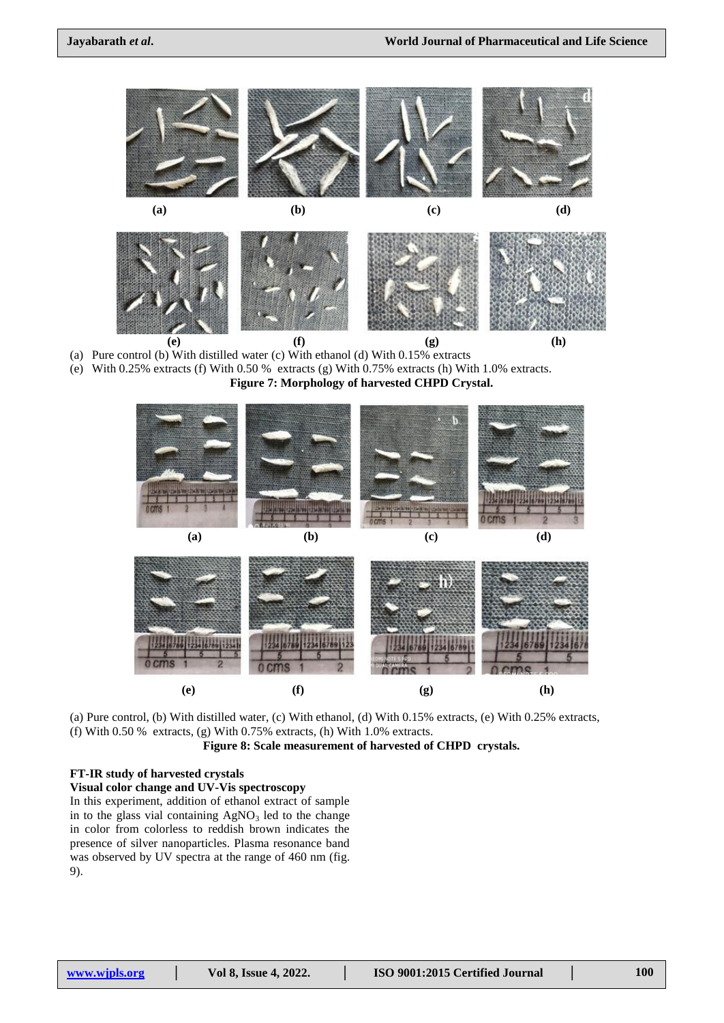

- (a) Pure control (b) With distilled water (c) With ethanol (d) With 0.15% extracts
- (e) With 0.25% extracts (f) With 0.50 % extracts (g) With 0.75% extracts (h) With 1.0% extracts.

#### **Figure 7: Morphology of harvested CHPD Crystal.**





(a) Pure control, (b) With distilled water, (c) With ethanol, (d) With 0.15% extracts, (e) With 0.25% extracts, (f) With 0.50 % extracts, (g) With 0.75% extracts, (h) With 1.0% extracts.

**Figure 8: Scale measurement of harvested of CHPD crystals.**

#### **FT-IR study of harvested crystals**

**Visual color change and UV-Vis spectroscopy**

In this experiment, addition of ethanol extract of sample in to the glass vial containing  $AgNO<sub>3</sub>$  led to the change in color from colorless to reddish brown indicates the presence of silver nanoparticles. Plasma resonance band was observed by UV spectra at the range of 460 nm (fig. 9).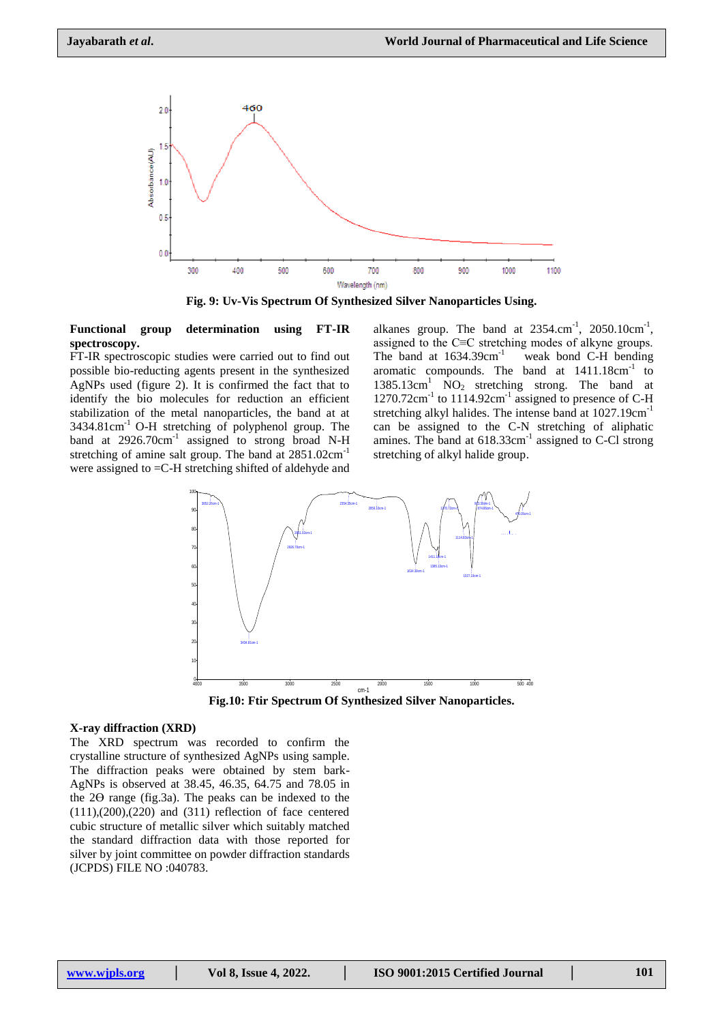

**Fig. 9: Uv-Vis Spectrum Of Synthesized Silver Nanoparticles Using.**

#### **Functional group determination using FT-IR spectroscopy.**

FT-IR spectroscopic studies were carried out to find out possible bio-reducting agents present in the synthesized AgNPs used (figure 2). It is confirmed the fact that to identify the bio molecules for reduction an efficient stabilization of the metal nanoparticles, the band at at 3434.81cm-1 O-H stretching of polyphenol group. The band at 2926.70cm<sup>-1</sup> assigned to strong broad N-H stretching of amine salt group. The band at  $2851.02 \text{cm}^{-1}$ were assigned to =C-H stretching shifted of aldehyde and

alkanes group. The band at  $2354 \text{.cm}^{-1}$ ,  $2050.10 \text{cm}^{-1}$ , assigned to the C≡C stretching modes of alkyne groups. The band at  $1634.39cm^{-1}$  weak bond C-H bending aromatic compounds. The band at  $1411.18 \text{cm}^{-1}$  to  $1385.13 \text{cm}^1$  NO<sub>2</sub> stretching strong. The band at  $1270.72$ cm<sup>-1</sup> to  $1114.92$ cm<sup>-1</sup> assigned to presence of C-H stretching alkyl halides. The intense band at  $1027.19 \text{cm}^{-1}$ can be assigned to the C-N stretching of aliphatic amines. The band at  $618.33 \text{cm}^{-1}$  assigned to C-Cl strong stretching of alkyl halide group.



Fig.10: Ftir Spectrum Of Synthesized Silver Nanoparticles.

#### **X-ray diffraction (XRD)**

The XRD spectrum was recorded to confirm the crystalline structure of synthesized AgNPs using sample. The diffraction peaks were obtained by stem bark-AgNPs is observed at 38.45, 46.35, 64.75 and 78.05 in the 2Ө range (fig.3a). The peaks can be indexed to the  $(111), (200), (220)$  and  $(311)$  reflection of face centered cubic structure of metallic silver which suitably matched the standard diffraction data with those reported for silver by joint committee on powder diffraction standards (JCPDS) FILE NO :040783.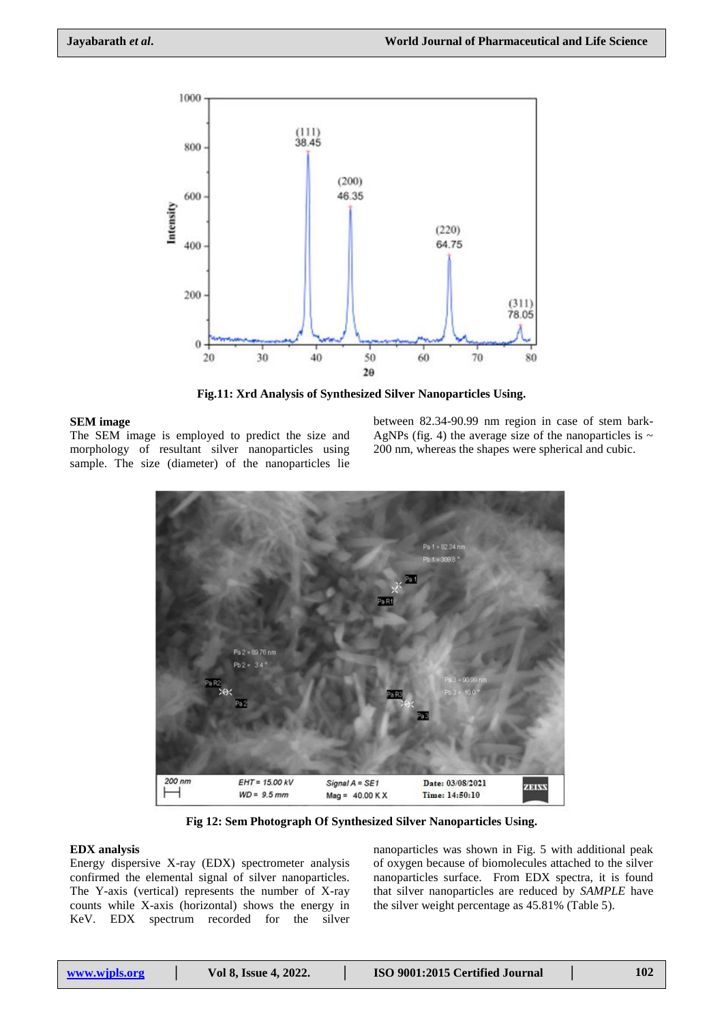

**Fig.11: Xrd Analysis of Synthesized Silver Nanoparticles Using.**

#### **SEM image**

The SEM image is employed to predict the size and morphology of resultant silver nanoparticles using sample. The size (diameter) of the nanoparticles lie

between 82.34-90.99 nm region in case of stem bark-AgNPs (fig. 4) the average size of the nanoparticles is  $\sim$ 200 nm, whereas the shapes were spherical and cubic.



**Fig 12: Sem Photograph Of Synthesized Silver Nanoparticles Using.**

#### **EDX analysis**

Energy dispersive X-ray (EDX) spectrometer analysis confirmed the elemental signal of silver nanoparticles. The Y-axis (vertical) represents the number of X-ray counts while X-axis (horizontal) shows the energy in KeV. EDX spectrum recorded for the silver

nanoparticles was shown in Fig. 5 with additional peak of oxygen because of biomolecules attached to the silver nanoparticles surface. From EDX spectra, it is found that silver nanoparticles are reduced by *SAMPLE* have the silver weight percentage as 45.81% (Table 5).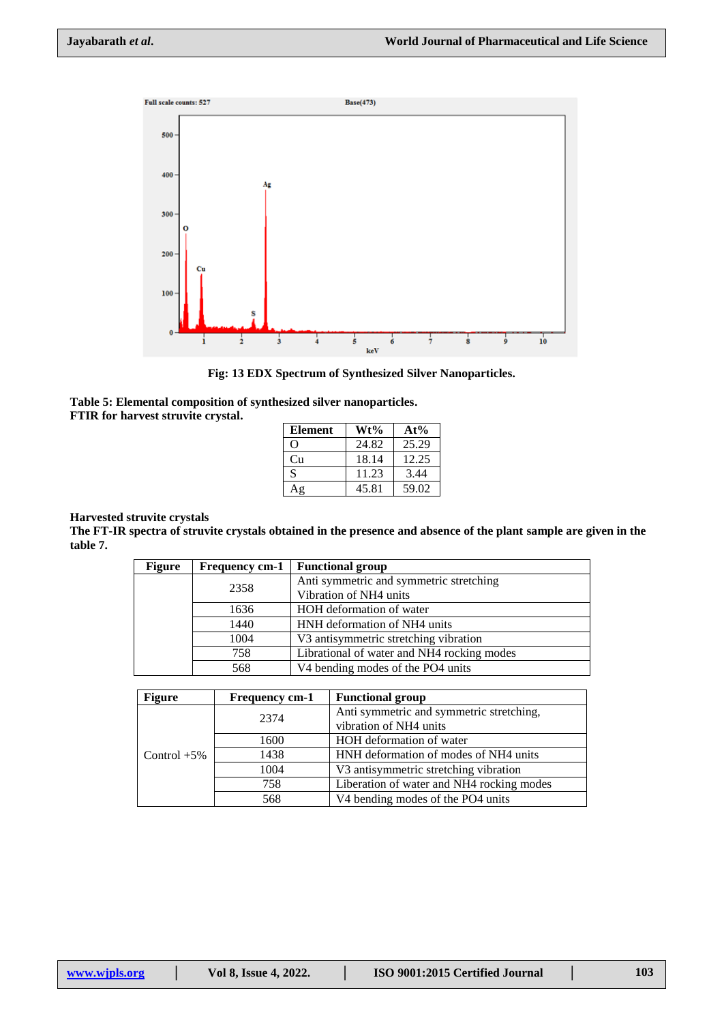

**Fig: 13 EDX Spectrum of Synthesized Silver Nanoparticles.**

| Table 5: Elemental composition of synthesized silver nanoparticles. |  |
|---------------------------------------------------------------------|--|
| <b>FTIR</b> for harvest struvite crystal.                           |  |

| Element  | Wt%   | $At\%$ |
|----------|-------|--------|
| $\Omega$ | 24.82 | 25.29  |
| Сп       | 18.14 | 12.25  |
| S        | 11.23 | 3.44   |
|          | 45.81 | 59.02  |

#### **Harvested struvite crystals**

**The FT-IR spectra of struvite crystals obtained in the presence and absence of the plant sample are given in the table 7.**

| <b>Figure</b> | <b>Frequency cm-1</b> | <b>Functional group</b>                    |
|---------------|-----------------------|--------------------------------------------|
|               | 2358                  | Anti symmetric and symmetric stretching    |
|               |                       | Vibration of NH4 units                     |
|               | 1636                  | HOH deformation of water                   |
|               | 1440                  | HNH deformation of NH4 units               |
|               | 1004                  | V3 antisymmetric stretching vibration      |
|               | 758                   | Librational of water and NH4 rocking modes |
|               | 568                   | V4 bending modes of the PO4 units          |
|               |                       |                                            |

| <b>Figure</b>  | Frequency cm-1 | <b>Functional group</b>                   |  |
|----------------|----------------|-------------------------------------------|--|
| Control $+5\%$ | 2374           | Anti symmetric and symmetric stretching,  |  |
|                |                | vibration of NH4 units                    |  |
|                | 1600           | HOH deformation of water                  |  |
|                | 1438           | HNH deformation of modes of NH4 units     |  |
|                | 1004           | V3 antisymmetric stretching vibration     |  |
|                | 758            | Liberation of water and NH4 rocking modes |  |
|                | 568            | V4 bending modes of the PO4 units         |  |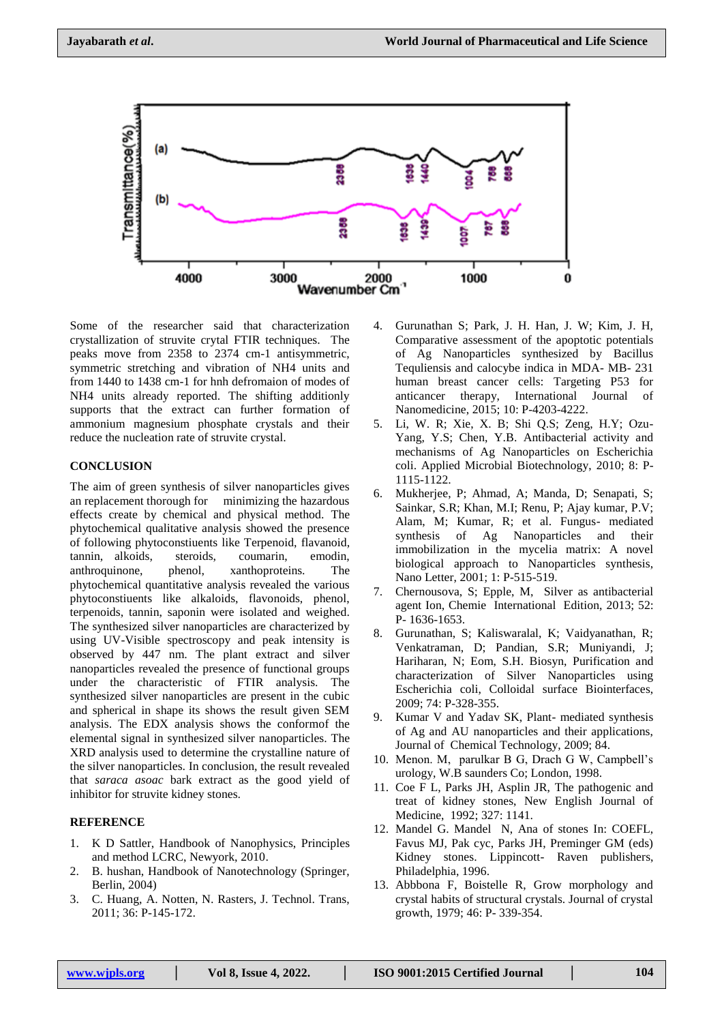

Some of the researcher said that characterization crystallization of struvite crytal FTIR techniques. The peaks move from 2358 to 2374 cm-1 antisymmetric, symmetric stretching and vibration of NH4 units and from 1440 to 1438 cm-1 for hnh defromaion of modes of NH4 units already reported. The shifting additionly supports that the extract can further formation of ammonium magnesium phosphate crystals and their reduce the nucleation rate of struvite crystal.

#### **CONCLUSION**

The aim of green synthesis of silver nanoparticles gives an replacement thorough for minimizing the hazardous effects create by chemical and physical method. The phytochemical qualitative analysis showed the presence of following phytoconstiuents like Terpenoid, flavanoid, tannin, alkoids, steroids, coumarin, emodin, anthroquinone, phenol, xanthoproteins. The phytochemical quantitative analysis revealed the various phytoconstiuents like alkaloids, flavonoids, phenol, terpenoids, tannin, saponin were isolated and weighed. The synthesized silver nanoparticles are characterized by using UV-Visible spectroscopy and peak intensity is observed by 447 nm. The plant extract and silver nanoparticles revealed the presence of functional groups under the characteristic of FTIR analysis. The synthesized silver nanoparticles are present in the cubic and spherical in shape its shows the result given SEM analysis. The EDX analysis shows the conformof the elemental signal in synthesized silver nanoparticles. The XRD analysis used to determine the crystalline nature of the silver nanoparticles. In conclusion, the result revealed that *saraca asoac* bark extract as the good yield of inhibitor for struvite kidney stones.

#### **REFERENCE**

- 1. K D Sattler, Handbook of Nanophysics, Principles and method LCRC, Newyork, 2010.
- 2. B. hushan, Handbook of Nanotechnology (Springer, Berlin, 2004)
- 3. C. Huang, A. Notten, N. Rasters, J. Technol. Trans, 2011; 36: P-145-172.
- 4. Gurunathan S; Park, J. H. Han, J. W; Kim, J. H, Comparative assessment of the apoptotic potentials of Ag Nanoparticles synthesized by Bacillus Tequliensis and calocybe indica in MDA- MB- 231 human breast cancer cells: Targeting P53 for anticancer therapy, International Journal of Nanomedicine, 2015; 10: P-4203-4222.
- 5. Li, W. R; Xie, X. B; Shi Q.S; Zeng, H.Y; Ozu-Yang, Y.S; Chen, Y.B. Antibacterial activity and mechanisms of Ag Nanoparticles on Escherichia coli. Applied Microbial Biotechnology, 2010; 8: P-1115-1122.
- 6. Mukherjee, P; Ahmad, A; Manda, D; Senapati, S; Sainkar, S.R; Khan, M.I; Renu, P; Ajay kumar, P.V; Alam, M; Kumar, R; et al. Fungus- mediated synthesis of Ag Nanoparticles and their immobilization in the mycelia matrix: A novel biological approach to Nanoparticles synthesis, Nano Letter, 2001; 1: P-515-519.
- 7. Chernousova, S; Epple, M, Silver as antibacterial agent Ion, Chemie International Edition, 2013; 52: P- 1636-1653.
- 8. Gurunathan, S; Kaliswaralal, K; Vaidyanathan, R; Venkatraman, D; Pandian, S.R; Muniyandi, J; Hariharan, N; Eom, S.H. Biosyn, Purification and characterization of Silver Nanoparticles using Escherichia coli, Colloidal surface Biointerfaces, 2009; 74: P-328-355.
- 9. Kumar V and Yadav SK, Plant- mediated synthesis of Ag and AU nanoparticles and their applications, Journal of Chemical Technology, 2009; 84.
- 10. Menon. M, parulkar B G, Drach G W, Campbell's urology, W.B saunders Co; London, 1998.
- 11. Coe F L, Parks JH, Asplin JR, The pathogenic and treat of kidney stones, New English Journal of Medicine, 1992; 327: 1141.
- 12. Mandel G. Mandel N, Ana of stones In: COEFL, Favus MJ, Pak cyc, Parks JH, Preminger GM (eds) Kidney stones. Lippincott- Raven publishers, Philadelphia, 1996.
- 13. Abbbona F, Boistelle R, Grow morphology and crystal habits of structural crystals. Journal of crystal growth, 1979; 46: P- 339-354.